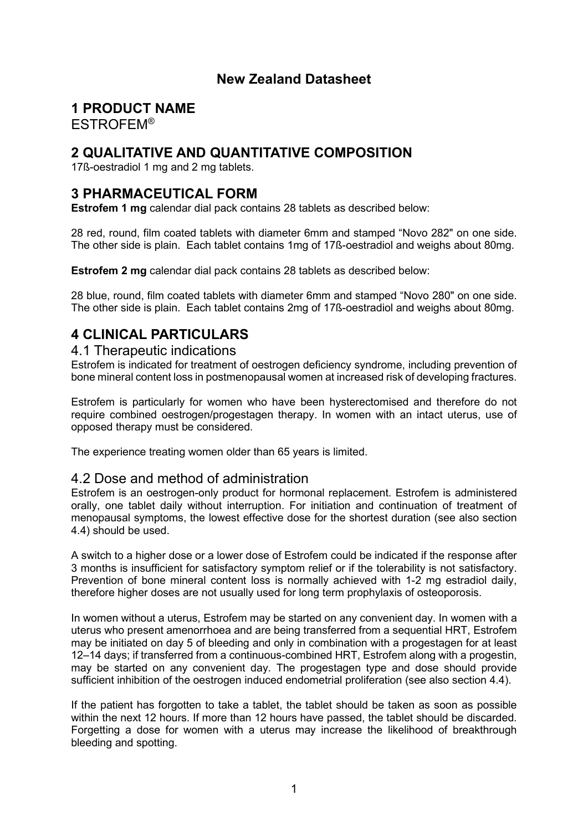# **New Zealand Datasheet**

# **1 PRODUCT NAME**

ESTROFEM®

# **2 QUALITATIVE AND QUANTITATIVE COMPOSITION**

17ß-oestradiol 1 mg and 2 mg tablets.

# **3 PHARMACEUTICAL FORM**

**Estrofem 1 mg** calendar dial pack contains 28 tablets as described below:

28 red, round, film coated tablets with diameter 6mm and stamped "Novo 282" on one side. The other side is plain. Each tablet contains 1mg of 17ß-oestradiol and weighs about 80mg.

**Estrofem 2 mg** calendar dial pack contains 28 tablets as described below:

28 blue, round, film coated tablets with diameter 6mm and stamped "Novo 280" on one side. The other side is plain. Each tablet contains 2mg of 17ß-oestradiol and weighs about 80mg.

# **4 CLINICAL PARTICULARS**

## 4.1 Therapeutic indications

Estrofem is indicated for treatment of oestrogen deficiency syndrome, including prevention of bone mineral content loss in postmenopausal women at increased risk of developing fractures.

Estrofem is particularly for women who have been hysterectomised and therefore do not require combined oestrogen/progestagen therapy. In women with an intact uterus, use of opposed therapy must be considered.

The experience treating women older than 65 years is limited.

## 4.2 Dose and method of administration

Estrofem is an oestrogen-only product for hormonal replacement. Estrofem is administered orally, one tablet daily without interruption. For initiation and continuation of treatment of menopausal symptoms, the lowest effective dose for the shortest duration (see also section 4.4) should be used.

A switch to a higher dose or a lower dose of Estrofem could be indicated if the response after 3 months is insufficient for satisfactory symptom relief or if the tolerability is not satisfactory. Prevention of bone mineral content loss is normally achieved with 1-2 mg estradiol daily, therefore higher doses are not usually used for long term prophylaxis of osteoporosis.

In women without a uterus, Estrofem may be started on any convenient day. In women with a uterus who present amenorrhoea and are being transferred from a sequential HRT, Estrofem may be initiated on day 5 of bleeding and only in combination with a progestagen for at least 12–14 days; if transferred from a continuous-combined HRT, Estrofem along with a progestin, may be started on any convenient day. The progestagen type and dose should provide sufficient inhibition of the oestrogen induced endometrial proliferation (see also section 4.4).

If the patient has forgotten to take a tablet, the tablet should be taken as soon as possible within the next 12 hours. If more than 12 hours have passed, the tablet should be discarded. Forgetting a dose for women with a uterus may increase the likelihood of breakthrough bleeding and spotting.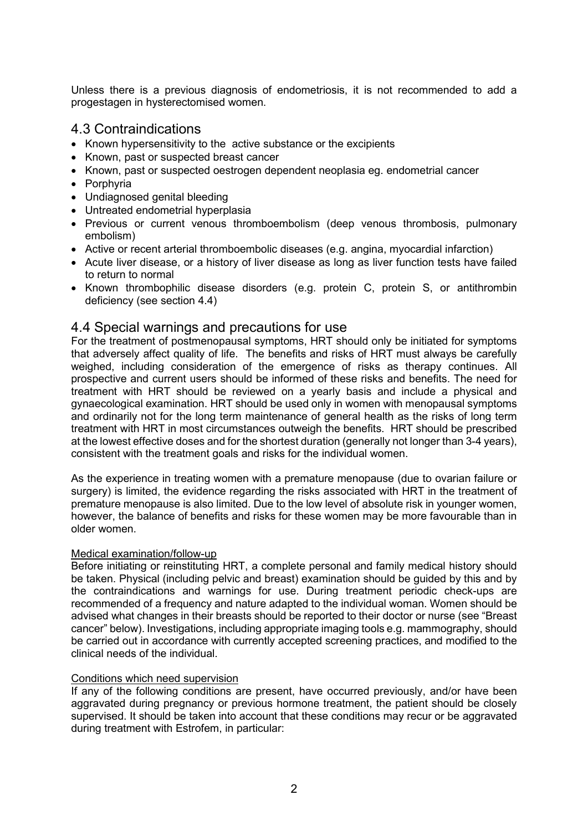Unless there is a previous diagnosis of endometriosis, it is not recommended to add a progestagen in hysterectomised women.

# 4.3 Contraindications

- Known hypersensitivity to the active substance or the excipients
- Known, past or suspected breast cancer
- Known, past or suspected oestrogen dependent neoplasia eg. endometrial cancer
- Porphyria
- Undiagnosed genital bleeding
- Untreated endometrial hyperplasia
- Previous or current venous thromboembolism (deep venous thrombosis, pulmonary embolism)
- Active or recent arterial thromboembolic diseases (e.g. angina, myocardial infarction)
- Acute liver disease, or a history of liver disease as long as liver function tests have failed to return to normal
- Known thrombophilic disease disorders (e.g. protein C, protein S, or antithrombin deficiency (see section 4.4)

## 4.4 Special warnings and precautions for use

For the treatment of postmenopausal symptoms, HRT should only be initiated for symptoms that adversely affect quality of life. The benefits and risks of HRT must always be carefully weighed, including consideration of the emergence of risks as therapy continues. All prospective and current users should be informed of these risks and benefits. The need for treatment with HRT should be reviewed on a yearly basis and include a physical and gynaecological examination. HRT should be used only in women with menopausal symptoms and ordinarily not for the long term maintenance of general health as the risks of long term treatment with HRT in most circumstances outweigh the benefits. HRT should be prescribed at the lowest effective doses and for the shortest duration (generally not longer than 3-4 years), consistent with the treatment goals and risks for the individual women.

As the experience in treating women with a premature menopause (due to ovarian failure or surgery) is limited, the evidence regarding the risks associated with HRT in the treatment of premature menopause is also limited. Due to the low level of absolute risk in younger women, however, the balance of benefits and risks for these women may be more favourable than in older women.

#### Medical examination/follow-up

Before initiating or reinstituting HRT, a complete personal and family medical history should be taken. Physical (including pelvic and breast) examination should be guided by this and by the contraindications and warnings for use. During treatment periodic check-ups are recommended of a frequency and nature adapted to the individual woman. Women should be advised what changes in their breasts should be reported to their doctor or nurse (see "Breast cancer" below). Investigations, including appropriate imaging tools e.g. mammography, should be carried out in accordance with currently accepted screening practices, and modified to the clinical needs of the individual.

#### Conditions which need supervision

If any of the following conditions are present, have occurred previously, and/or have been aggravated during pregnancy or previous hormone treatment, the patient should be closely supervised. It should be taken into account that these conditions may recur or be aggravated during treatment with Estrofem, in particular: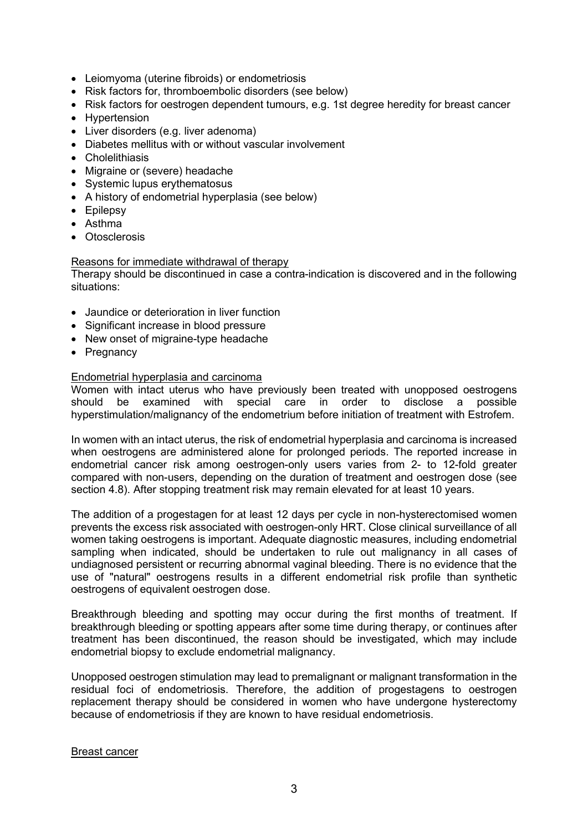- Leiomyoma (uterine fibroids) or endometriosis
- Risk factors for, thromboembolic disorders (see below)
- Risk factors for oestrogen dependent tumours, e.g. 1st degree heredity for breast cancer
- Hypertension
- Liver disorders (e.g. liver adenoma)
- Diabetes mellitus with or without vascular involvement
- Cholelithiasis
- Migraine or (severe) headache
- Systemic lupus erythematosus
- A history of endometrial hyperplasia (see below)
- Epilepsy
- Asthma
- Otosclerosis

#### Reasons for immediate withdrawal of therapy

Therapy should be discontinued in case a contra-indication is discovered and in the following situations:

- Jaundice or deterioration in liver function
- Significant increase in blood pressure
- New onset of migraine-type headache
- Pregnancy

#### Endometrial hyperplasia and carcinoma

Women with intact uterus who have previously been treated with unopposed oestrogens should be examined with special care in order to disclose a possible hyperstimulation/malignancy of the endometrium before initiation of treatment with Estrofem.

In women with an intact uterus, the risk of endometrial hyperplasia and carcinoma is increased when oestrogens are administered alone for prolonged periods. The reported increase in endometrial cancer risk among oestrogen-only users varies from 2- to 12-fold greater compared with non-users, depending on the duration of treatment and oestrogen dose (see section 4.8). After stopping treatment risk may remain elevated for at least 10 years.

The addition of a progestagen for at least 12 days per cycle in non-hysterectomised women prevents the excess risk associated with oestrogen-only HRT. Close clinical surveillance of all women taking oestrogens is important. Adequate diagnostic measures, including endometrial sampling when indicated, should be undertaken to rule out malignancy in all cases of undiagnosed persistent or recurring abnormal vaginal bleeding. There is no evidence that the use of "natural" oestrogens results in a different endometrial risk profile than synthetic oestrogens of equivalent oestrogen dose.

Breakthrough bleeding and spotting may occur during the first months of treatment. If breakthrough bleeding or spotting appears after some time during therapy, or continues after treatment has been discontinued, the reason should be investigated, which may include endometrial biopsy to exclude endometrial malignancy.

Unopposed oestrogen stimulation may lead to premalignant or malignant transformation in the residual foci of endometriosis. Therefore, the addition of progestagens to oestrogen replacement therapy should be considered in women who have undergone hysterectomy because of endometriosis if they are known to have residual endometriosis.

#### Breast cancer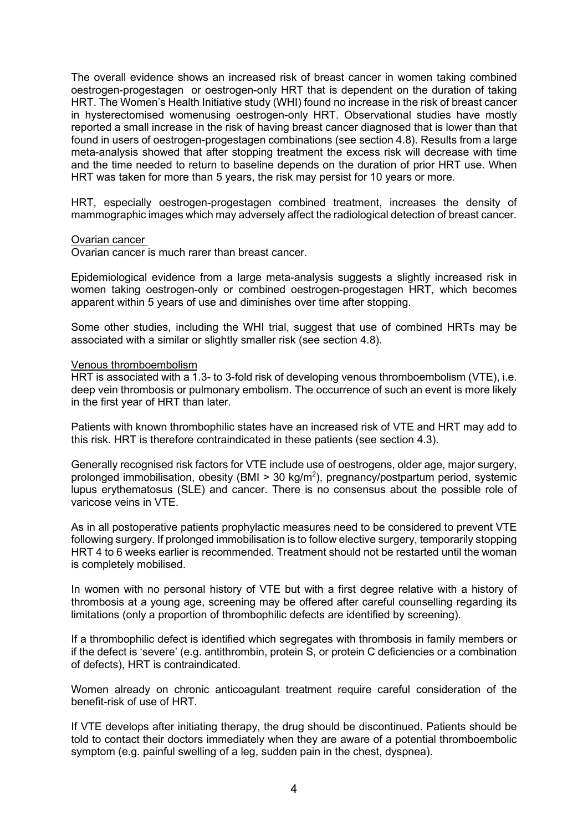The overall evidence shows an increased risk of breast cancer in women taking combined oestrogen-progestagen or oestrogen-only HRT that is dependent on the duration of taking HRT. The Women's Health Initiative study (WHI) found no increase in the risk of breast cancer in hysterectomised womenusing oestrogen-only HRT. Observational studies have mostly reported a small increase in the risk of having breast cancer diagnosed that is lower than that found in users of oestrogen-progestagen combinations (see section 4.8). Results from a large meta-analysis showed that after stopping treatment the excess risk will decrease with time and the time needed to return to baseline depends on the duration of prior HRT use. When HRT was taken for more than 5 years, the risk may persist for 10 years or more.

HRT, especially oestrogen-progestagen combined treatment, increases the density of mammographic images which may adversely affect the radiological detection of breast cancer.

#### Ovarian cancer

Ovarian cancer is much rarer than breast cancer.

Epidemiological evidence from a large meta-analysis suggests a slightly increased risk in women taking oestrogen-only or combined oestrogen-progestagen HRT, which becomes apparent within 5 years of use and diminishes over time after stopping.

Some other studies, including the WHI trial, suggest that use of combined HRTs may be associated with a similar or slightly smaller risk (see section 4.8).

#### Venous thromboembolism

HRT is associated with a 1.3- to 3-fold risk of developing venous thromboembolism (VTE), i.e. deep vein thrombosis or pulmonary embolism. The occurrence of such an event is more likely in the first year of HRT than later.

Patients with known thrombophilic states have an increased risk of VTE and HRT may add to this risk. HRT is therefore contraindicated in these patients (see section 4.3).

Generally recognised risk factors for VTE include use of oestrogens, older age, major surgery, prolonged immobilisation, obesity (BMI > 30 kg/m<sup>2</sup>), pregnancy/postpartum period, systemic lupus erythematosus (SLE) and cancer. There is no consensus about the possible role of varicose veins in VTE.

As in all postoperative patients prophylactic measures need to be considered to prevent VTE following surgery. If prolonged immobilisation is to follow elective surgery, temporarily stopping HRT 4 to 6 weeks earlier is recommended. Treatment should not be restarted until the woman is completely mobilised.

In women with no personal history of VTE but with a first degree relative with a history of thrombosis at a young age, screening may be offered after careful counselling regarding its limitations (only a proportion of thrombophilic defects are identified by screening).

If a thrombophilic defect is identified which segregates with thrombosis in family members or if the defect is 'severe' (e.g. antithrombin, protein S, or protein C deficiencies or a combination of defects), HRT is contraindicated.

Women already on chronic anticoagulant treatment require careful consideration of the benefit-risk of use of HRT.

If VTE develops after initiating therapy, the drug should be discontinued. Patients should be told to contact their doctors immediately when they are aware of a potential thromboembolic symptom (e.g. painful swelling of a leg, sudden pain in the chest, dyspnea).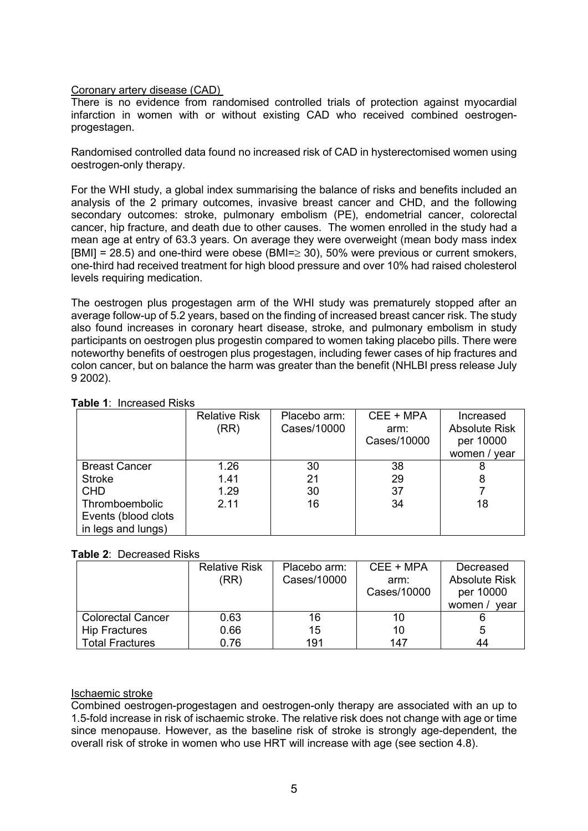#### Coronary artery disease (CAD)

There is no evidence from randomised controlled trials of protection against myocardial infarction in women with or without existing CAD who received combined oestrogenprogestagen.

Randomised controlled data found no increased risk of CAD in hysterectomised women using oestrogen-only therapy.

For the WHI study, a global index summarising the balance of risks and benefits included an analysis of the 2 primary outcomes, invasive breast cancer and CHD, and the following secondary outcomes: stroke, pulmonary embolism (PE), endometrial cancer, colorectal cancer, hip fracture, and death due to other causes. The women enrolled in the study had a mean age at entry of 63.3 years. On average they were overweight (mean body mass index  $[BMI] = 28.5$ ) and one-third were obese (BMI= $\geq$  30), 50% were previous or current smokers, one-third had received treatment for high blood pressure and over 10% had raised cholesterol levels requiring medication.

The oestrogen plus progestagen arm of the WHI study was prematurely stopped after an average follow-up of 5.2 years, based on the finding of increased breast cancer risk. The study also found increases in coronary heart disease, stroke, and pulmonary embolism in study participants on oestrogen plus progestin compared to women taking placebo pills. There were noteworthy benefits of oestrogen plus progestagen, including fewer cases of hip fractures and colon cancer, but on balance the harm was greater than the benefit (NHLBI press release July 9 2002).

|                      | <b>Relative Risk</b><br>(RR) | Placebo arm:<br>Cases/10000 | CEE + MPA<br>arm:<br>Cases/10000 | Increased<br><b>Absolute Risk</b><br>per 10000<br>women / year |
|----------------------|------------------------------|-----------------------------|----------------------------------|----------------------------------------------------------------|
| <b>Breast Cancer</b> | 1.26                         | 30                          | 38                               | 8                                                              |
| <b>Stroke</b>        | 1.41                         | 21                          | 29                               | 8                                                              |
| <b>CHD</b>           | 1.29                         | 30                          | 37                               |                                                                |
| Thromboembolic       | 2.11                         | 16                          | 34                               | 18                                                             |
| Events (blood clots  |                              |                             |                                  |                                                                |
| in legs and lungs)   |                              |                             |                                  |                                                                |

#### **Table 1**: Increased Risks

#### **Table 2**: Decreased Risks

|                          | <b>Relative Risk</b> | Placebo arm: | CEE + MPA   | Decreased            |
|--------------------------|----------------------|--------------|-------------|----------------------|
|                          | (RR)                 | Cases/10000  | arm:        | <b>Absolute Risk</b> |
|                          |                      |              | Cases/10000 | per 10000            |
|                          |                      |              |             | women /<br>vear      |
| <b>Colorectal Cancer</b> | 0.63                 | 16           | 10          |                      |
| <b>Hip Fractures</b>     | 0.66                 | 15           | 10          | 5                    |
| <b>Total Fractures</b>   | 0.76                 | 191          | 147         | 44                   |

#### Ischaemic stroke

Combined oestrogen-progestagen and oestrogen-only therapy are associated with an up to 1.5-fold increase in risk of ischaemic stroke. The relative risk does not change with age or time since menopause. However, as the baseline risk of stroke is strongly age-dependent, the overall risk of stroke in women who use HRT will increase with age (see section 4.8).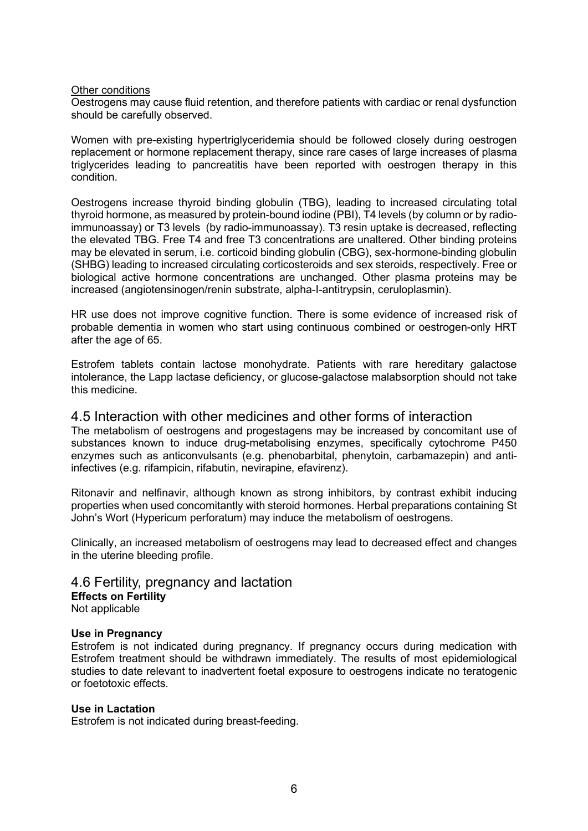#### Other conditions

Oestrogens may cause fluid retention, and therefore patients with cardiac or renal dysfunction should be carefully observed.

Women with pre-existing hypertriglyceridemia should be followed closely during oestrogen replacement or hormone replacement therapy, since rare cases of large increases of plasma triglycerides leading to pancreatitis have been reported with oestrogen therapy in this condition.

Oestrogens increase thyroid binding globulin (TBG), leading to increased circulating total thyroid hormone, as measured by protein-bound iodine (PBI), T4 levels (by column or by radioimmunoassay) or T3 levels (by radio-immunoassay). T3 resin uptake is decreased, reflecting the elevated TBG. Free T4 and free T3 concentrations are unaltered. Other binding proteins may be elevated in serum, i.e. corticoid binding globulin (CBG), sex-hormone-binding globulin (SHBG) leading to increased circulating corticosteroids and sex steroids, respectively. Free or biological active hormone concentrations are unchanged. Other plasma proteins may be increased (angiotensinogen/renin substrate, alpha-I-antitrypsin, ceruloplasmin).

HR use does not improve cognitive function. There is some evidence of increased risk of probable dementia in women who start using continuous combined or oestrogen-only HRT after the age of 65.

Estrofem tablets contain lactose monohydrate. Patients with rare hereditary galactose intolerance, the Lapp lactase deficiency, or glucose-galactose malabsorption should not take this medicine.

#### 4.5 Interaction with other medicines and other forms of interaction

The metabolism of oestrogens and progestagens may be increased by concomitant use of substances known to induce drug-metabolising enzymes, specifically cytochrome P450 enzymes such as anticonvulsants (e.g. phenobarbital, phenytoin, carbamazepin) and antiinfectives (e.g. rifampicin, rifabutin, nevirapine, efavirenz).

Ritonavir and nelfinavir, although known as strong inhibitors, by contrast exhibit inducing properties when used concomitantly with steroid hormones. Herbal preparations containing St John's Wort (Hypericum perforatum) may induce the metabolism of oestrogens.

Clinically, an increased metabolism of oestrogens may lead to decreased effect and changes in the uterine bleeding profile.

4.6 Fertility, pregnancy and lactation **Effects on Fertility** Not applicable

#### **Use in Pregnancy**

Estrofem is not indicated during pregnancy. If pregnancy occurs during medication with Estrofem treatment should be withdrawn immediately. The results of most epidemiological studies to date relevant to inadvertent foetal exposure to oestrogens indicate no teratogenic or foetotoxic effects.

#### **Use in Lactation**

Estrofem is not indicated during breast-feeding.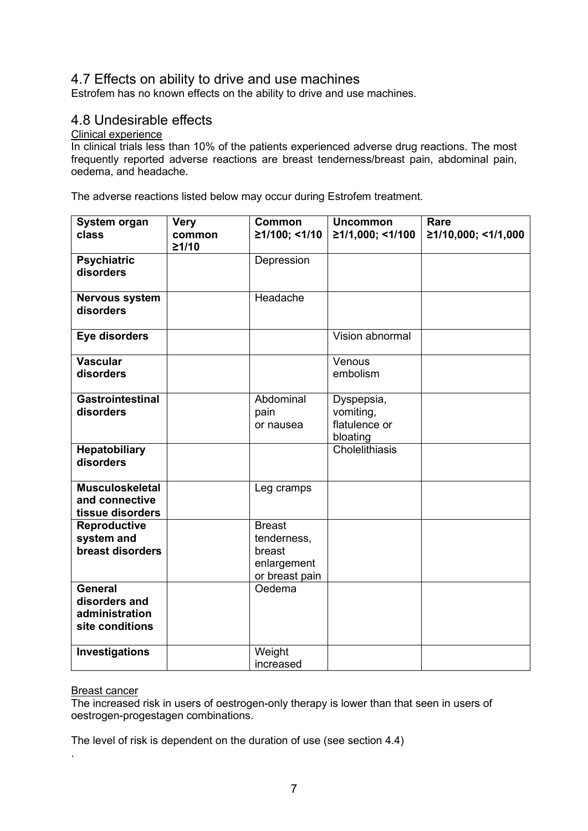# 4.7 Effects on ability to drive and use machines

Estrofem has no known effects on the ability to drive and use machines.

## 4.8 Undesirable effects

#### Clinical experience

In clinical trials less than 10% of the patients experienced adverse drug reactions. The most frequently reported adverse reactions are breast tenderness/breast pain, abdominal pain, oedema, and headache.

The adverse reactions listed below may occur during Estrofem treatment.

| System organ<br>class                                                | <b>Very</b><br>common | Common<br>≥1/100; <1/10                                                 | <b>Uncommon</b><br>≥1/1,000; <1/100                  | Rare<br>≥1/10,000; <1/1,000 |
|----------------------------------------------------------------------|-----------------------|-------------------------------------------------------------------------|------------------------------------------------------|-----------------------------|
|                                                                      | 21/10                 |                                                                         |                                                      |                             |
| <b>Psychiatric</b><br>disorders                                      |                       | Depression                                                              |                                                      |                             |
| <b>Nervous system</b><br>disorders                                   |                       | Headache                                                                |                                                      |                             |
| Eye disorders                                                        |                       |                                                                         | Vision abnormal                                      |                             |
| <b>Vascular</b><br>disorders                                         |                       |                                                                         | Venous<br>embolism                                   |                             |
| <b>Gastrointestinal</b><br>disorders                                 |                       | Abdominal<br>pain<br>or nausea                                          | Dyspepsia,<br>vomiting,<br>flatulence or<br>bloating |                             |
| <b>Hepatobiliary</b><br>disorders                                    |                       |                                                                         | Cholelithiasis                                       |                             |
| <b>Musculoskeletal</b><br>and connective<br>tissue disorders         |                       | Leg cramps                                                              |                                                      |                             |
| Reproductive<br>system and<br>breast disorders                       |                       | <b>Breast</b><br>tenderness,<br>breast<br>enlargement<br>or breast pain |                                                      |                             |
| <b>General</b><br>disorders and<br>administration<br>site conditions |                       | Oedema                                                                  |                                                      |                             |
| Investigations                                                       |                       | Weight<br>increased                                                     |                                                      |                             |

#### Breast cancer

.

The increased risk in users of oestrogen-only therapy is lower than that seen in users of oestrogen-progestagen combinations.

The level of risk is dependent on the duration of use (see section 4.4)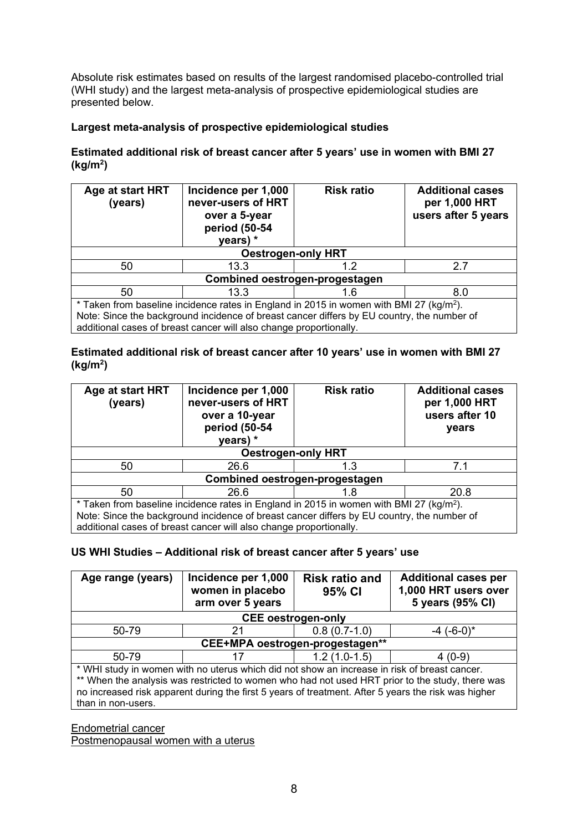Absolute risk estimates based on results of the largest randomised placebo-controlled trial (WHI study) and the largest meta-analysis of prospective epidemiological studies are presented below.

## **Largest meta-analysis of prospective epidemiological studies**

**Estimated additional risk of breast cancer after 5 years' use in women with BMI 27 (kg/m2 )**

| Age at start HRT<br>(years)                                                                         | Incidence per 1,000<br>never-users of HRT<br>over a 5-year<br>period (50-54<br>years) * | <b>Risk ratio</b> | <b>Additional cases</b><br>per 1,000 HRT<br>users after 5 years |  |
|-----------------------------------------------------------------------------------------------------|-----------------------------------------------------------------------------------------|-------------------|-----------------------------------------------------------------|--|
| <b>Oestrogen-only HRT</b>                                                                           |                                                                                         |                   |                                                                 |  |
| 50                                                                                                  | 13.3                                                                                    | 1.2               | 2.7                                                             |  |
| Combined oestrogen-progestagen                                                                      |                                                                                         |                   |                                                                 |  |
| 50                                                                                                  | 13.3                                                                                    | 1.6               | 8.0                                                             |  |
| * Taken from baseline incidence rates in England in 2015 in women with BMI 27 (kg/m <sup>2</sup> ). |                                                                                         |                   |                                                                 |  |
| Note: Since the background incidence of breast cancer differs by EU country, the number of          |                                                                                         |                   |                                                                 |  |
|                                                                                                     | additional cases of breast cancer will also change proportionally.                      |                   |                                                                 |  |

### **Estimated additional risk of breast cancer after 10 years' use in women with BMI 27 (kg/m2 )**

| Age at start HRT<br>(years)                                                                         | Incidence per 1,000<br>never-users of HRT<br>over a 10-year<br>period (50-54<br>years) $*$ | <b>Risk ratio</b> | <b>Additional cases</b><br>per 1,000 HRT<br>users after 10<br>years |  |
|-----------------------------------------------------------------------------------------------------|--------------------------------------------------------------------------------------------|-------------------|---------------------------------------------------------------------|--|
| <b>Oestrogen-only HRT</b>                                                                           |                                                                                            |                   |                                                                     |  |
| 50                                                                                                  | 26.6                                                                                       | 1.3               | 7.1                                                                 |  |
| Combined oestrogen-progestagen                                                                      |                                                                                            |                   |                                                                     |  |
| 50                                                                                                  | 26.6                                                                                       | 1.8               | 20.8                                                                |  |
| * Taken from baseline incidence rates in England in 2015 in women with BMI 27 (kg/m <sup>2</sup> ). |                                                                                            |                   |                                                                     |  |
| Note: Since the background incidence of breast cancer differs by EU country, the number of          |                                                                                            |                   |                                                                     |  |
|                                                                                                     | additional cases of breast cancer will also change proportionally.                         |                   |                                                                     |  |

#### **US WHI Studies – Additional risk of breast cancer after 5 years' use**

| Age range (years)               | Incidence per 1,000<br>women in placebo<br>arm over 5 years                                                                                                                                         | <b>Risk ratio and</b><br>95% CI | <b>Additional cases per</b><br>1,000 HRT users over<br>5 years (95% CI)                         |  |
|---------------------------------|-----------------------------------------------------------------------------------------------------------------------------------------------------------------------------------------------------|---------------------------------|-------------------------------------------------------------------------------------------------|--|
| <b>CEE</b> oestrogen-only       |                                                                                                                                                                                                     |                                 |                                                                                                 |  |
| 50-79                           | 21                                                                                                                                                                                                  | $0.8(0.7-1.0)$                  | $-4$ (-6-0) <sup>*</sup>                                                                        |  |
| CEE+MPA oestrogen-progestagen** |                                                                                                                                                                                                     |                                 |                                                                                                 |  |
| 50-79                           | 17                                                                                                                                                                                                  | $1.2(1.0-1.5)$                  | $4(0-9)$                                                                                        |  |
| than in non-users.              | * WHI study in women with no uterus which did not show an increase in risk of breast cancer.<br>no increased risk apparent during the first 5 years of treatment. After 5 years the risk was higher |                                 | ** When the analysis was restricted to women who had not used HRT prior to the study, there was |  |

Endometrial cancer

Postmenopausal women with a uterus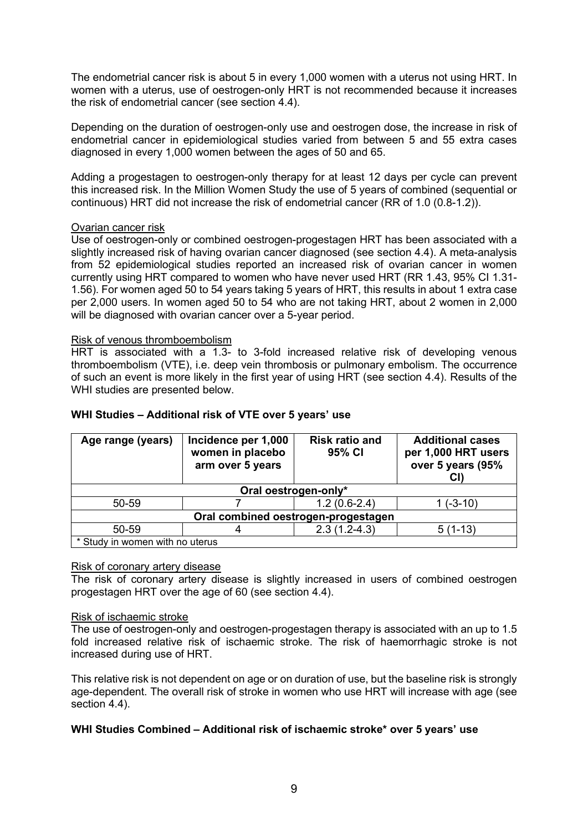The endometrial cancer risk is about 5 in every 1,000 women with a uterus not using HRT. In women with a uterus, use of oestrogen-only HRT is not recommended because it increases the risk of endometrial cancer (see section 4.4).

Depending on the duration of oestrogen-only use and oestrogen dose, the increase in risk of endometrial cancer in epidemiological studies varied from between 5 and 55 extra cases diagnosed in every 1,000 women between the ages of 50 and 65.

Adding a progestagen to oestrogen-only therapy for at least 12 days per cycle can prevent this increased risk. In the Million Women Study the use of 5 years of combined (sequential or continuous) HRT did not increase the risk of endometrial cancer (RR of 1.0 (0.8-1.2)).

#### Ovarian cancer risk

Use of oestrogen-only or combined oestrogen-progestagen HRT has been associated with a slightly increased risk of having ovarian cancer diagnosed (see section 4.4). A meta-analysis from 52 epidemiological studies reported an increased risk of ovarian cancer in women currently using HRT compared to women who have never used HRT (RR 1.43, 95% CI 1.31- 1.56). For women aged 50 to 54 years taking 5 years of HRT, this results in about 1 extra case per 2,000 users. In women aged 50 to 54 who are not taking HRT, about 2 women in 2,000 will be diagnosed with ovarian cancer over a 5-year period.

#### Risk of venous thromboembolism

HRT is associated with a 1.3- to 3-fold increased relative risk of developing venous thromboembolism (VTE), i.e. deep vein thrombosis or pulmonary embolism. The occurrence of such an event is more likely in the first year of using HRT (see section 4.4). Results of the WHI studies are presented below.

| Age range (years)                   | Incidence per 1,000<br>women in placebo<br>arm over 5 years | <b>Risk ratio and</b><br>95% CI | <b>Additional cases</b><br>per 1,000 HRT users<br>over 5 years (95%<br>CI) |
|-------------------------------------|-------------------------------------------------------------|---------------------------------|----------------------------------------------------------------------------|
| Oral oestrogen-only*                |                                                             |                                 |                                                                            |
| 50-59                               |                                                             | $1.2(0.6-2.4)$                  | $1(-3-10)$                                                                 |
| Oral combined oestrogen-progestagen |                                                             |                                 |                                                                            |
| 50-59                               |                                                             | $2.3(1.2-4.3)$                  | $5(1-13)$                                                                  |
| * Study in women with no uterus     |                                                             |                                 |                                                                            |

#### **WHI Studies – Additional risk of VTE over 5 years' use**

#### Risk of coronary artery disease

The risk of coronary artery disease is slightly increased in users of combined oestrogen progestagen HRT over the age of 60 (see section 4.4).

#### Risk of ischaemic stroke

The use of oestrogen-only and oestrogen-progestagen therapy is associated with an up to 1.5 fold increased relative risk of ischaemic stroke. The risk of haemorrhagic stroke is not increased during use of HRT.

This relative risk is not dependent on age or on duration of use, but the baseline risk is strongly age-dependent. The overall risk of stroke in women who use HRT will increase with age (see section 4.4).

#### **WHI Studies Combined – Additional risk of ischaemic stroke\* over 5 years' use**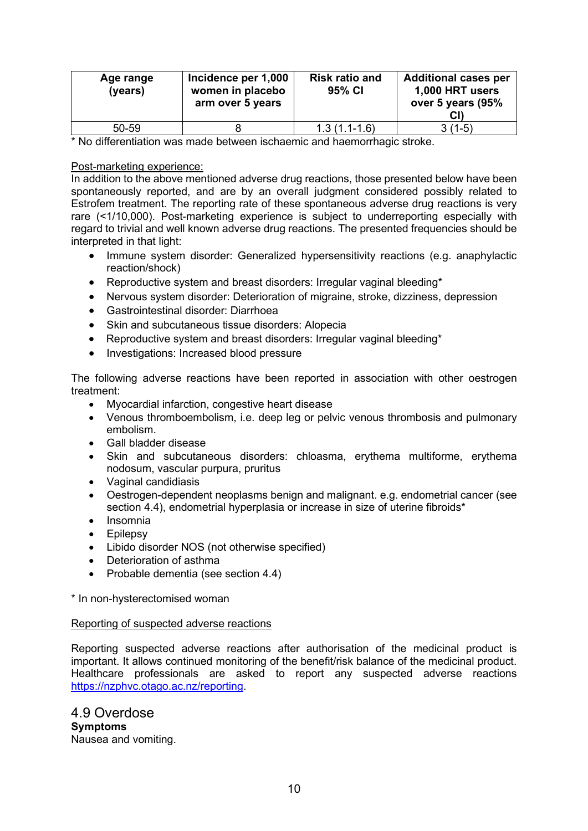| Age range<br>(years) | Incidence per 1,000<br>women in placebo<br>arm over 5 years | <b>Risk ratio and</b><br>95% CI | <b>Additional cases per</b><br>1,000 HRT users<br>over 5 years (95%<br>CI) |
|----------------------|-------------------------------------------------------------|---------------------------------|----------------------------------------------------------------------------|
| 50-59                |                                                             | $1.3(1.1-1.6)$                  | $3(1-5)$                                                                   |

\* No differentiation was made between ischaemic and haemorrhagic stroke.

#### Post-marketing experience:

In addition to the above mentioned adverse drug reactions, those presented below have been spontaneously reported, and are by an overall judgment considered possibly related to Estrofem treatment. The reporting rate of these spontaneous adverse drug reactions is very rare (<1/10,000). Post-marketing experience is subject to underreporting especially with regard to trivial and well known adverse drug reactions. The presented frequencies should be interpreted in that light:

- Immune system disorder: Generalized hypersensitivity reactions (e.g. anaphylactic reaction/shock)
- Reproductive system and breast disorders: Irregular vaginal bleeding\*
- Nervous system disorder: Deterioration of migraine, stroke, dizziness, depression
- Gastrointestinal disorder: Diarrhoea
- Skin and subcutaneous tissue disorders: Alopecia
- Reproductive system and breast disorders: Irregular vaginal bleeding\*
- Investigations: Increased blood pressure

The following adverse reactions have been reported in association with other oestrogen treatment:

- Myocardial infarction, congestive heart disease
- Venous thromboembolism, i.e. deep leg or pelvic venous thrombosis and pulmonary embolism.
- Gall bladder disease
- Skin and subcutaneous disorders: chloasma, erythema multiforme, erythema nodosum, vascular purpura, pruritus
- Vaginal candidiasis
- Oestrogen-dependent neoplasms benign and malignant. e.g. endometrial cancer (see section 4.4), endometrial hyperplasia or increase in size of uterine fibroids\*
- Insomnia
- Epilepsy
- Libido disorder NOS (not otherwise specified)
- Deterioration of asthma
- Probable dementia (see section 4.4)

\* In non-hysterectomised woman

#### Reporting of suspected adverse reactions

Reporting suspected adverse reactions after authorisation of the medicinal product is important. It allows continued monitoring of the benefit/risk balance of the medicinal product. Healthcare professionals are asked to report any suspected adverse reactions [https://nzphvc.otago.ac.nz/reporting.](https://nzphvc.otago.ac.nz/reporting)

4.9 Overdose **Symptoms** Nausea and vomiting.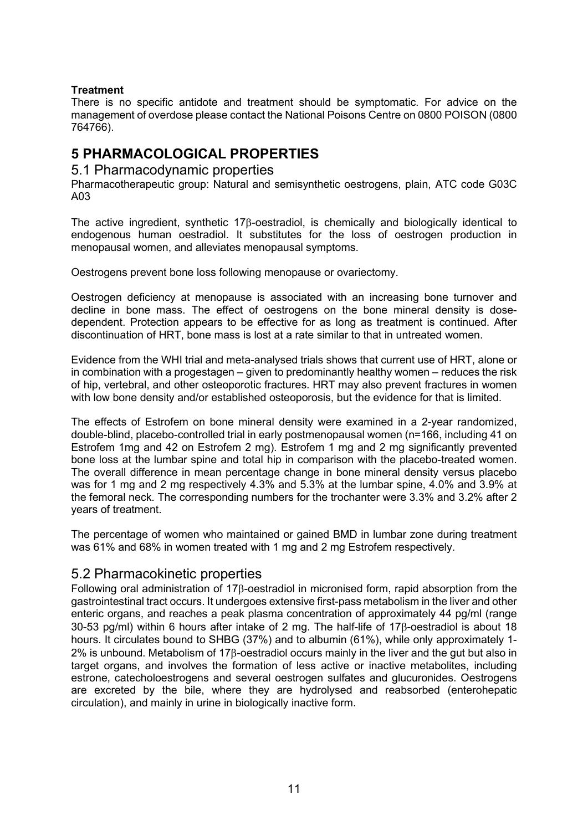### **Treatment**

There is no specific antidote and treatment should be symptomatic. For advice on the management of overdose please contact the National Poisons Centre on 0800 POISON (0800 764766).

# **5 PHARMACOLOGICAL PROPERTIES**

### 5.1 Pharmacodynamic properties

Pharmacotherapeutic group: Natural and semisynthetic oestrogens, plain, ATC code G03C A03

The active ingredient, synthetic 17β-oestradiol, is chemically and biologically identical to endogenous human oestradiol. It substitutes for the loss of oestrogen production in menopausal women, and alleviates menopausal symptoms.

Oestrogens prevent bone loss following menopause or ovariectomy.

Oestrogen deficiency at menopause is associated with an increasing bone turnover and decline in bone mass. The effect of oestrogens on the bone mineral density is dosedependent. Protection appears to be effective for as long as treatment is continued. After discontinuation of HRT, bone mass is lost at a rate similar to that in untreated women.

Evidence from the WHI trial and meta-analysed trials shows that current use of HRT, alone or in combination with a progestagen – given to predominantly healthy women – reduces the risk of hip, vertebral, and other osteoporotic fractures. HRT may also prevent fractures in women with low bone density and/or established osteoporosis, but the evidence for that is limited.

The effects of Estrofem on bone mineral density were examined in a 2-year randomized, double-blind, placebo-controlled trial in early postmenopausal women (n=166, including 41 on Estrofem 1mg and 42 on Estrofem 2 mg). Estrofem 1 mg and 2 mg significantly prevented bone loss at the lumbar spine and total hip in comparison with the placebo-treated women. The overall difference in mean percentage change in bone mineral density versus placebo was for 1 mg and 2 mg respectively 4.3% and 5.3% at the lumbar spine, 4.0% and 3.9% at the femoral neck. The corresponding numbers for the trochanter were 3.3% and 3.2% after 2 years of treatment.

The percentage of women who maintained or gained BMD in lumbar zone during treatment was 61% and 68% in women treated with 1 mg and 2 mg Estrofem respectively.

# 5.2 Pharmacokinetic properties

Following oral administration of 17β-oestradiol in micronised form, rapid absorption from the gastrointestinal tract occurs. It undergoes extensive first-pass metabolism in the liver and other enteric organs, and reaches a peak plasma concentration of approximately 44 pg/ml (range 30-53 pg/ml) within 6 hours after intake of 2 mg. The half-life of 17β-oestradiol is about 18 hours. It circulates bound to SHBG (37%) and to albumin (61%), while only approximately 1-2% is unbound. Metabolism of 17β-oestradiol occurs mainly in the liver and the gut but also in target organs, and involves the formation of less active or inactive metabolites, including estrone, catecholoestrogens and several oestrogen sulfates and glucuronides. Oestrogens are excreted by the bile, where they are hydrolysed and reabsorbed (enterohepatic circulation), and mainly in urine in biologically inactive form.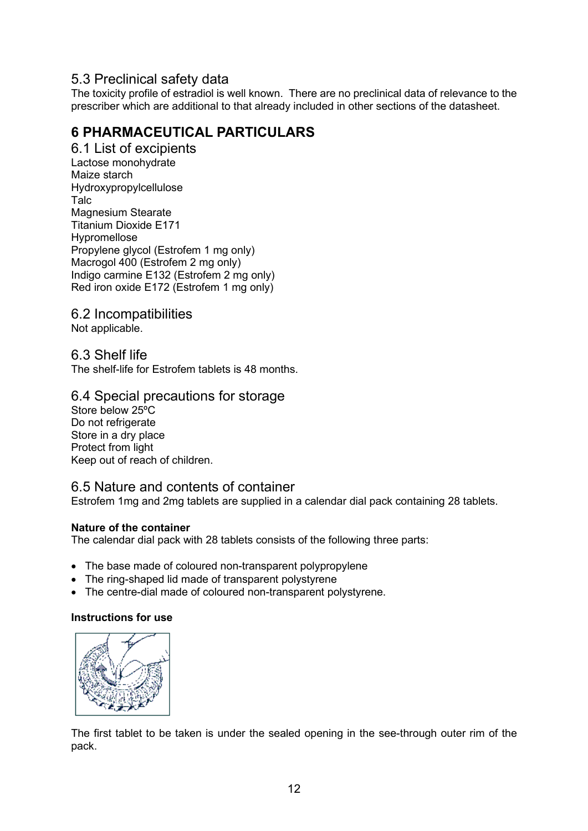# 5.3 Preclinical safety data

The toxicity profile of estradiol is well known. There are no preclinical data of relevance to the prescriber which are additional to that already included in other sections of the datasheet.

# **6 PHARMACEUTICAL PARTICULARS**

6.1 List of excipients Lactose monohydrate Maize starch Hydroxypropylcellulose Talc Magnesium Stearate Titanium Dioxide E171 Hypromellose Propylene glycol (Estrofem 1 mg only) Macrogol 400 (Estrofem 2 mg only) Indigo carmine E132 (Estrofem 2 mg only) Red iron oxide E172 (Estrofem 1 mg only)

6.2 Incompatibilities

Not applicable.

6.3 Shelf life

The shelf-life for Estrofem tablets is 48 months.

## 6.4 Special precautions for storage

Store below 25°C Do not refrigerate Store in a dry place Protect from light Keep out of reach of children.

## 6.5 Nature and contents of container

Estrofem 1mg and 2mg tablets are supplied in a calendar dial pack containing 28 tablets.

#### **Nature of the container**

The calendar dial pack with 28 tablets consists of the following three parts:

- The base made of coloured non-transparent polypropylene
- The ring-shaped lid made of transparent polystyrene
- The centre-dial made of coloured non-transparent polystyrene.

#### **Instructions for use**



The first tablet to be taken is under the sealed opening in the see-through outer rim of the pack.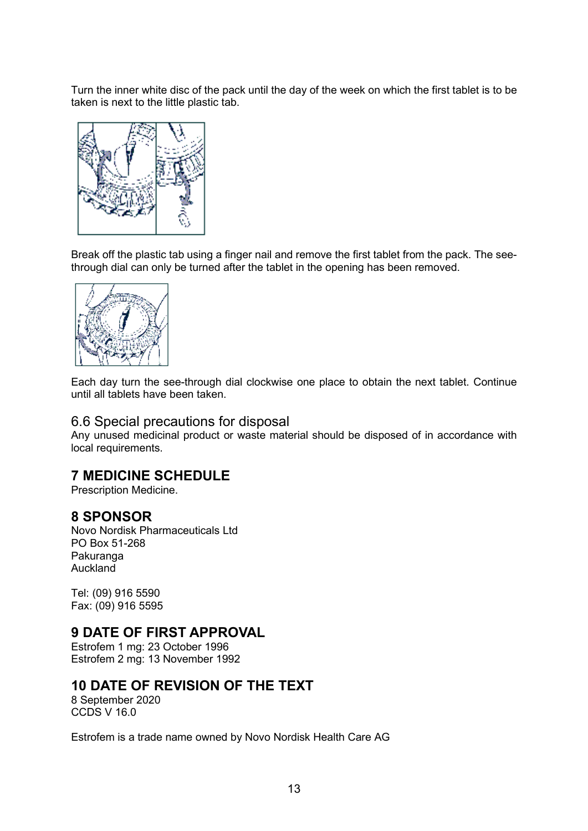Turn the inner white disc of the pack until the day of the week on which the first tablet is to be taken is next to the little plastic tab.



Break off the plastic tab using a finger nail and remove the first tablet from the pack. The seethrough dial can only be turned after the tablet in the opening has been removed.



Each day turn the see-through dial clockwise one place to obtain the next tablet. Continue until all tablets have been taken.

### 6.6 Special precautions for disposal

Any unused medicinal product or waste material should be disposed of in accordance with local requirements.

# **7 MEDICINE SCHEDULE**

Prescription Medicine.

## **8 SPONSOR**

Novo Nordisk Pharmaceuticals Ltd PO Box 51-268 Pakuranga Auckland

Tel: (09) 916 5590 Fax: (09) 916 5595

## **9 DATE OF FIRST APPROVAL**

Estrofem 1 mg: 23 October 1996 Estrofem 2 mg: 13 November 1992

## **10 DATE OF REVISION OF THE TEXT**

8 September 2020 CCDS V 16.0

Estrofem is a trade name owned by Novo Nordisk Health Care AG